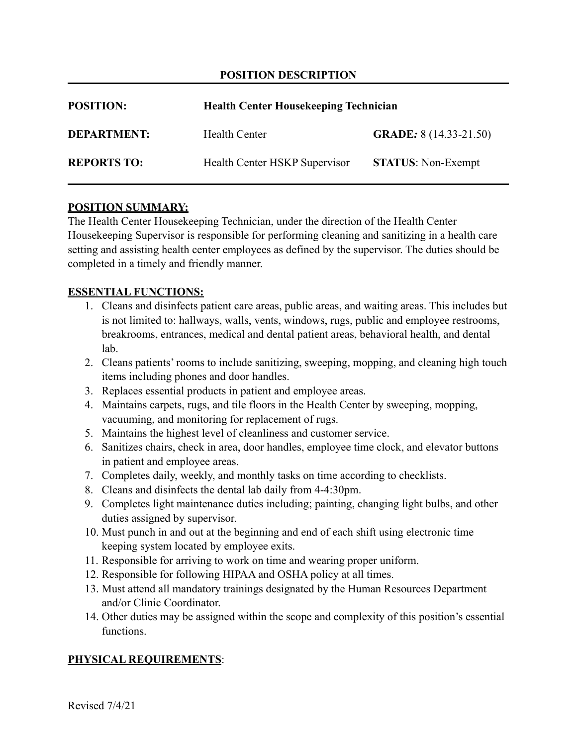# **POSITION DESCRIPTION**

| <b>POSITION:</b>   | <b>Health Center Housekeeping Technician</b> |                               |  |  |
|--------------------|----------------------------------------------|-------------------------------|--|--|
| <b>DEPARTMENT:</b> | Health Center                                | <b>GRADE:</b> 8 (14.33-21.50) |  |  |
| <b>REPORTS TO:</b> | Health Center HSKP Supervisor                | <b>STATUS:</b> Non-Exempt     |  |  |

## **POSITION SUMMARY:**

The Health Center Housekeeping Technician, under the direction of the Health Center Housekeeping Supervisor is responsible for performing cleaning and sanitizing in a health care setting and assisting health center employees as defined by the supervisor. The duties should be completed in a timely and friendly manner.

#### **ESSENTIAL FUNCTIONS:**

- 1. Cleans and disinfects patient care areas, public areas, and waiting areas. This includes but is not limited to: hallways, walls, vents, windows, rugs, public and employee restrooms, breakrooms, entrances, medical and dental patient areas, behavioral health, and dental lab.
- 2. Cleans patients' rooms to include sanitizing, sweeping, mopping, and cleaning high touch items including phones and door handles.
- 3. Replaces essential products in patient and employee areas.
- 4. Maintains carpets, rugs, and tile floors in the Health Center by sweeping, mopping, vacuuming, and monitoring for replacement of rugs.
- 5. Maintains the highest level of cleanliness and customer service.
- 6. Sanitizes chairs, check in area, door handles, employee time clock, and elevator buttons in patient and employee areas.
- 7. Completes daily, weekly, and monthly tasks on time according to checklists.
- 8. Cleans and disinfects the dental lab daily from 4-4:30pm.
- 9. Completes light maintenance duties including; painting, changing light bulbs, and other duties assigned by supervisor.
- 10. Must punch in and out at the beginning and end of each shift using electronic time keeping system located by employee exits.
- 11. Responsible for arriving to work on time and wearing proper uniform.
- 12. Responsible for following HIPAA and OSHA policy at all times.
- 13. Must attend all mandatory trainings designated by the Human Resources Department and/or Clinic Coordinator.
- 14. Other duties may be assigned within the scope and complexity of this position's essential functions.

## **PHYSICAL REQUIREMENTS**: